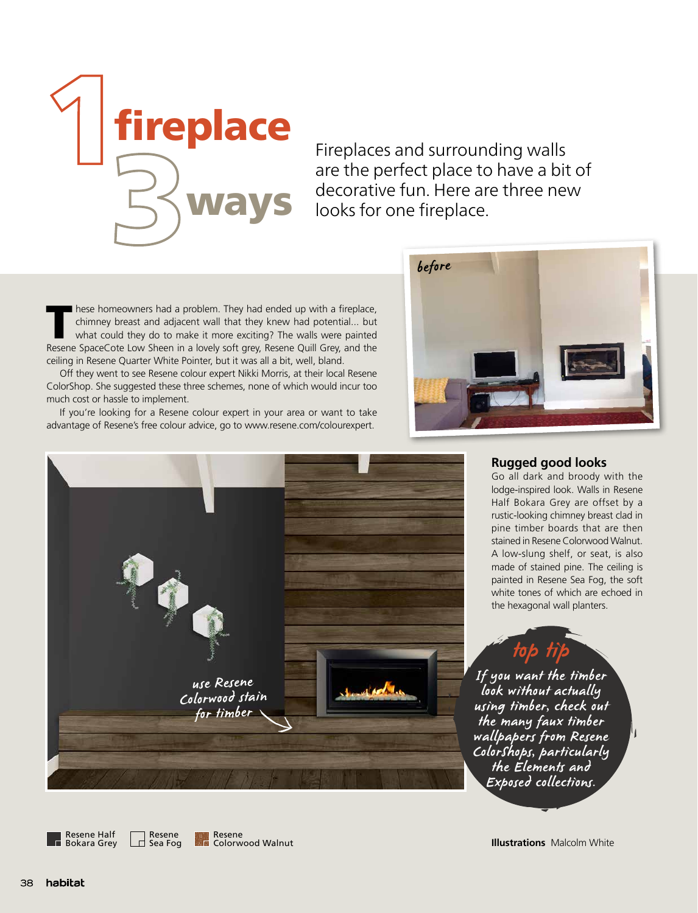

Fireplaces and surrounding walls are the perfect place to have a bit of decorative fun. Here are three new **Ways** decorative fun. Here ar<br>looks for one fireplace.

These homeowners had a problem. They had ended up with a fireplace,<br>
chimney breast and adjacent wall that they knew had potential... but<br>
what could they do to make it more exciting? The walls were painted<br>
Recense SpaceC chimney breast and adjacent wall that they knew had potential... but Resene SpaceCote Low Sheen in a lovely soft grey, Resene Quill Grey, and the ceiling in Resene Quarter White Pointer, but it was all a bit, well, bland.

Off they went to see Resene colour expert Nikki Morris, at their local Resene ColorShop. She suggested these three schemes, none of which would incur too much cost or hassle to implement.

If you're looking for a Resene colour expert in your area or want to take advantage of Resene's free colour advice, go to www.resene.com/colourexpert.





## **Rugged good looks**

Go all dark and broody with the lodge-inspired look. Walls in Resene Half Bokara Grey are offset by a rustic-looking chimney breast clad in pine timber boards that are then stained in Resene Colorwood Walnut. A low-slung shelf, or seat, is also made of stained pine. The ceiling is painted in Resene Sea Fog, the soft white tones of which are echoed in the hexagonal wall planters.

If you want the timber look without actually using timber, check out the many faux timber wallpapers from Resene ColorShops, particularly the Elements and Exposed collections.

top tip

Resene Half Bokara Grey

Resene  $\Box$  Sea Fog

**Illustrations** Malcolm White